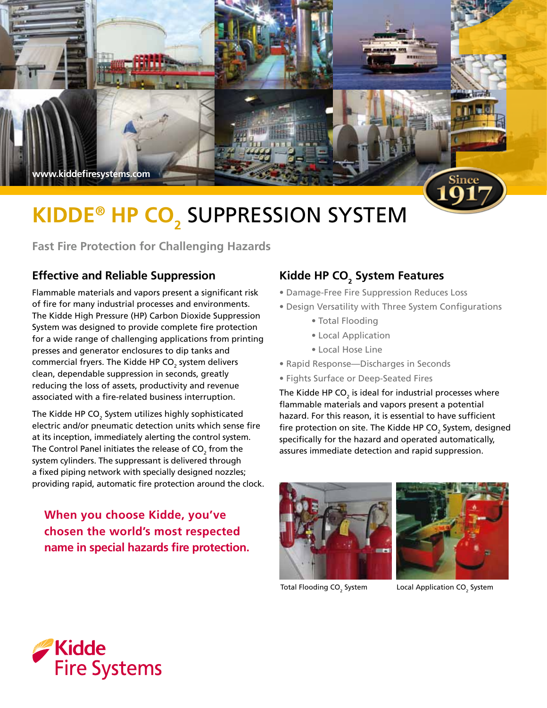

# **KIDDE® HP CO<sub>2</sub> SUPPRESSION SYSTEM**

**Fast Fire Protection for Challenging Hazards** 

# **Effective and Reliable Suppression**

Flammable materials and vapors present a significant risk of fire for many industrial processes and environments. The Kidde High Pressure (HP) Carbon Dioxide Suppression System was designed to provide complete fire protection for a wide range of challenging applications from printing presses and generator enclosures to dip tanks and commercial fryers. The Kidde HP CO $_{\textrm{\tiny{2}}}$  system delivers clean, dependable suppression in seconds, greatly reducing the loss of assets, productivity and revenue associated with a fire-related business interruption.

The Kidde HP CO $_{\tiny 2}$  System utilizes highly sophisticated electric and/or pneumatic detection units which sense fire at its inception, immediately alerting the control system. The Control Panel initiates the release of CO $_{\textrm{\tiny{2}}}$  from the system cylinders. The suppressant is delivered through a fixed piping network with specially designed nozzles; providing rapid, automatic fire protection around the clock.

**When you choose Kidde, you've chosen the world's most respected name in special hazards fire protection.**

# **Kidde HP CO2 System Features**

- Damage-Free Fire Suppression Reduces Loss
- Design Versatility with Three System Configurations
	- Total Flooding
	- Local Application
	- Local Hose Line
- Rapid Response—Discharges in Seconds
- Fights Surface or Deep-Seated Fires

The Kidde HP CO $_{\scriptscriptstyle 2}$  is ideal for industrial processes where flammable materials and vapors present a potential hazard. For this reason, it is essential to have sufficient fire protection on site. The Kidde HP CO $_{\rm 2}$  System, designed specifically for the hazard and operated automatically, assures immediate detection and rapid suppression.





Total Flooding CO<sub>2</sub> System

System Local Application CO<sub>2</sub> System